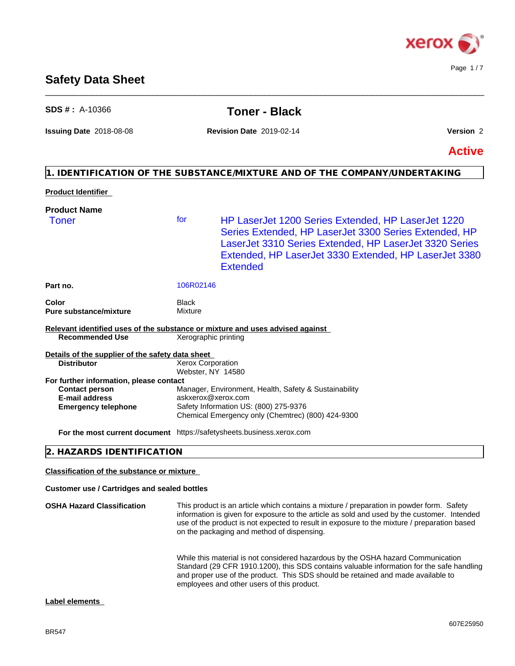

### **Safety Data Sheet**

| $SDS #: A-10366$                                                                                        |                                               | <b>Toner - Black</b>                                                                                                                                                                                                                                                                                                                 |               |
|---------------------------------------------------------------------------------------------------------|-----------------------------------------------|--------------------------------------------------------------------------------------------------------------------------------------------------------------------------------------------------------------------------------------------------------------------------------------------------------------------------------------|---------------|
| <b>Issuing Date 2018-08-08</b>                                                                          |                                               | <b>Revision Date 2019-02-14</b>                                                                                                                                                                                                                                                                                                      | Version 2     |
|                                                                                                         |                                               |                                                                                                                                                                                                                                                                                                                                      | <b>Active</b> |
|                                                                                                         |                                               | 1. IDENTIFICATION OF THE SUBSTANCE/MIXTURE AND OF THE COMPANY/UNDERTAKING                                                                                                                                                                                                                                                            |               |
| <b>Product Identifier</b>                                                                               |                                               |                                                                                                                                                                                                                                                                                                                                      |               |
| <b>Product Name</b>                                                                                     |                                               |                                                                                                                                                                                                                                                                                                                                      |               |
| <b>Toner</b>                                                                                            | for                                           | HP LaserJet 1200 Series Extended, HP LaserJet 1220<br>Series Extended, HP LaserJet 3300 Series Extended, HP<br>LaserJet 3310 Series Extended, HP LaserJet 3320 Series<br>Extended, HP LaserJet 3330 Extended, HP LaserJet 3380<br><b>Extended</b>                                                                                    |               |
| Part no.                                                                                                | 106R02146                                     |                                                                                                                                                                                                                                                                                                                                      |               |
| Color<br><b>Pure substance/mixture</b>                                                                  | <b>Black</b><br>Mixture                       |                                                                                                                                                                                                                                                                                                                                      |               |
| Relevant identified uses of the substance or mixture and uses advised against<br><b>Recommended Use</b> | Xerographic printing                          |                                                                                                                                                                                                                                                                                                                                      |               |
| Details of the supplier of the safety data sheet                                                        |                                               |                                                                                                                                                                                                                                                                                                                                      |               |
| <b>Distributor</b>                                                                                      | <b>Xerox Corporation</b><br>Webster, NY 14580 |                                                                                                                                                                                                                                                                                                                                      |               |
| For further information, please contact                                                                 |                                               |                                                                                                                                                                                                                                                                                                                                      |               |
| <b>Contact person</b>                                                                                   |                                               | Manager, Environment, Health, Safety & Sustainability                                                                                                                                                                                                                                                                                |               |
| E-mail address<br><b>Emergency telephone</b>                                                            |                                               | askxerox@xerox.com<br>Safety Information US: (800) 275-9376                                                                                                                                                                                                                                                                          |               |
|                                                                                                         |                                               | Chemical Emergency only (Chemtrec) (800) 424-9300                                                                                                                                                                                                                                                                                    |               |
| For the most current document https://safetysheets.business.xerox.com                                   |                                               |                                                                                                                                                                                                                                                                                                                                      |               |
| 2. HAZARDS IDENTIFICATION                                                                               |                                               |                                                                                                                                                                                                                                                                                                                                      |               |
| <b>Classification of the substance or mixture</b>                                                       |                                               |                                                                                                                                                                                                                                                                                                                                      |               |
| <b>Customer use / Cartridges and sealed bottles</b>                                                     |                                               |                                                                                                                                                                                                                                                                                                                                      |               |
| <b>OSHA Hazard Classification</b>                                                                       |                                               | This product is an article which contains a mixture / preparation in powder form. Safety<br>information is given for exposure to the article as sold and used by the customer. Intended<br>use of the product is not expected to result in exposure to the mixture / preparation based<br>on the packaging and method of dispensing. |               |

While this material is not considered hazardous by the OSHA hazard Communication Standard (29 CFR 1910.1200), this SDS contains valuable information for the safe handling and proper use of the product. This SDS should be retained and made available to employees and other users of this product.

#### **Label elements**

## \_\_\_\_\_\_\_\_\_\_\_\_\_\_\_\_\_\_\_\_\_\_\_\_\_\_\_\_\_\_\_\_\_\_\_\_\_\_\_\_\_\_\_\_\_\_\_\_\_\_\_\_\_\_\_\_\_\_\_\_\_\_\_\_\_\_\_\_\_\_\_\_\_\_\_\_\_\_\_\_\_\_\_\_\_\_\_\_\_\_\_\_\_\_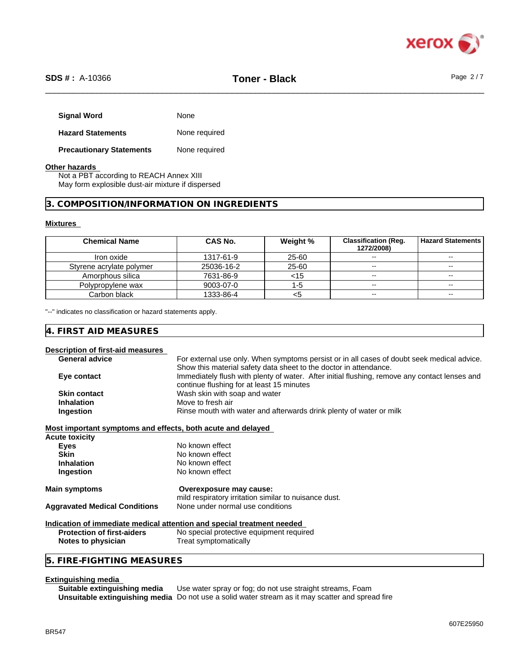

| <b>Signal Word</b>              | None          |
|---------------------------------|---------------|
| <b>Hazard Statements</b>        | None required |
| <b>Precautionary Statements</b> | None required |

#### **Other hazards**

Not a PBT according to REACH Annex XIII May form explosible dust-air mixture if dispersed

#### **3. COMPOSITION/INFORMATION ON INGREDIENTS**

#### **Mixtures**

| <b>Chemical Name</b>     | CAS No.    | Weight % | <b>Classification (Reg.</b><br>1272/2008) | <b>Hazard Statements I</b> |
|--------------------------|------------|----------|-------------------------------------------|----------------------------|
| Iron oxide               | 1317-61-9  | 25-60    | $\sim$                                    | $\sim$                     |
| Styrene acrylate polymer | 25036-16-2 | 25-60    | $\sim$ $\sim$                             | $\sim$ $\sim$              |
| Amorphous silica         | 7631-86-9  | <15      | $\sim$                                    | $\sim$                     |
| Polypropylene wax        | 9003-07-0  | ר:-ו     | $\overline{\phantom{a}}$                  |                            |
| Carbon black             | 1333-86-4  |          | $\overline{\phantom{a}}$                  | $- -$                      |

"--" indicates no classification or hazard statements apply.

#### **4. FIRST AID MEASURES**

#### **Description of first-aid measures**

| <b>General advice</b><br>Show this material safety data sheet to the doctor in attendance.<br>Eye contact<br>continue flushing for at least 15 minutes<br>Wash skin with soap and water<br><b>Skin contact</b><br>Move to fresh air<br><b>Inhalation</b><br>Rinse mouth with water and afterwards drink plenty of water or milk<br>Ingestion<br>Most important symptoms and effects, both acute and delayed<br>Acute toxicity<br>No known effect<br><b>Eyes</b><br><b>Skin</b><br>No known effect<br>No known effect<br><b>Inhalation</b><br>No known effect<br>Ingestion<br><b>Main symptoms</b><br>Overexposure may cause:<br>mild respiratory irritation similar to nuisance dust.<br><b>Aggravated Medical Conditions</b><br>None under normal use conditions<br>Indication of immediate medical attention and special treatment needed<br><b>Protection of first-aiders</b><br>No special protective equipment required<br>Treat symptomatically<br>Notes to physician<br>5. FIRE-FIGHTING MEASURES |                                                                                               |
|----------------------------------------------------------------------------------------------------------------------------------------------------------------------------------------------------------------------------------------------------------------------------------------------------------------------------------------------------------------------------------------------------------------------------------------------------------------------------------------------------------------------------------------------------------------------------------------------------------------------------------------------------------------------------------------------------------------------------------------------------------------------------------------------------------------------------------------------------------------------------------------------------------------------------------------------------------------------------------------------------------|-----------------------------------------------------------------------------------------------|
|                                                                                                                                                                                                                                                                                                                                                                                                                                                                                                                                                                                                                                                                                                                                                                                                                                                                                                                                                                                                          | For external use only. When symptoms persist or in all cases of doubt seek medical advice.    |
|                                                                                                                                                                                                                                                                                                                                                                                                                                                                                                                                                                                                                                                                                                                                                                                                                                                                                                                                                                                                          |                                                                                               |
|                                                                                                                                                                                                                                                                                                                                                                                                                                                                                                                                                                                                                                                                                                                                                                                                                                                                                                                                                                                                          | Immediately flush with plenty of water. After initial flushing, remove any contact lenses and |
|                                                                                                                                                                                                                                                                                                                                                                                                                                                                                                                                                                                                                                                                                                                                                                                                                                                                                                                                                                                                          |                                                                                               |
|                                                                                                                                                                                                                                                                                                                                                                                                                                                                                                                                                                                                                                                                                                                                                                                                                                                                                                                                                                                                          |                                                                                               |
|                                                                                                                                                                                                                                                                                                                                                                                                                                                                                                                                                                                                                                                                                                                                                                                                                                                                                                                                                                                                          |                                                                                               |
|                                                                                                                                                                                                                                                                                                                                                                                                                                                                                                                                                                                                                                                                                                                                                                                                                                                                                                                                                                                                          |                                                                                               |
|                                                                                                                                                                                                                                                                                                                                                                                                                                                                                                                                                                                                                                                                                                                                                                                                                                                                                                                                                                                                          |                                                                                               |
|                                                                                                                                                                                                                                                                                                                                                                                                                                                                                                                                                                                                                                                                                                                                                                                                                                                                                                                                                                                                          |                                                                                               |
|                                                                                                                                                                                                                                                                                                                                                                                                                                                                                                                                                                                                                                                                                                                                                                                                                                                                                                                                                                                                          |                                                                                               |
|                                                                                                                                                                                                                                                                                                                                                                                                                                                                                                                                                                                                                                                                                                                                                                                                                                                                                                                                                                                                          |                                                                                               |
|                                                                                                                                                                                                                                                                                                                                                                                                                                                                                                                                                                                                                                                                                                                                                                                                                                                                                                                                                                                                          |                                                                                               |
|                                                                                                                                                                                                                                                                                                                                                                                                                                                                                                                                                                                                                                                                                                                                                                                                                                                                                                                                                                                                          |                                                                                               |
|                                                                                                                                                                                                                                                                                                                                                                                                                                                                                                                                                                                                                                                                                                                                                                                                                                                                                                                                                                                                          |                                                                                               |
|                                                                                                                                                                                                                                                                                                                                                                                                                                                                                                                                                                                                                                                                                                                                                                                                                                                                                                                                                                                                          |                                                                                               |
|                                                                                                                                                                                                                                                                                                                                                                                                                                                                                                                                                                                                                                                                                                                                                                                                                                                                                                                                                                                                          |                                                                                               |
|                                                                                                                                                                                                                                                                                                                                                                                                                                                                                                                                                                                                                                                                                                                                                                                                                                                                                                                                                                                                          |                                                                                               |
|                                                                                                                                                                                                                                                                                                                                                                                                                                                                                                                                                                                                                                                                                                                                                                                                                                                                                                                                                                                                          |                                                                                               |
|                                                                                                                                                                                                                                                                                                                                                                                                                                                                                                                                                                                                                                                                                                                                                                                                                                                                                                                                                                                                          |                                                                                               |
|                                                                                                                                                                                                                                                                                                                                                                                                                                                                                                                                                                                                                                                                                                                                                                                                                                                                                                                                                                                                          |                                                                                               |

**Extinguishing media** Use water spray or fog; do not use straight streams, Foam **Unsuitable extinguishing media** Do not use a solid water stream as it may scatterand spread fire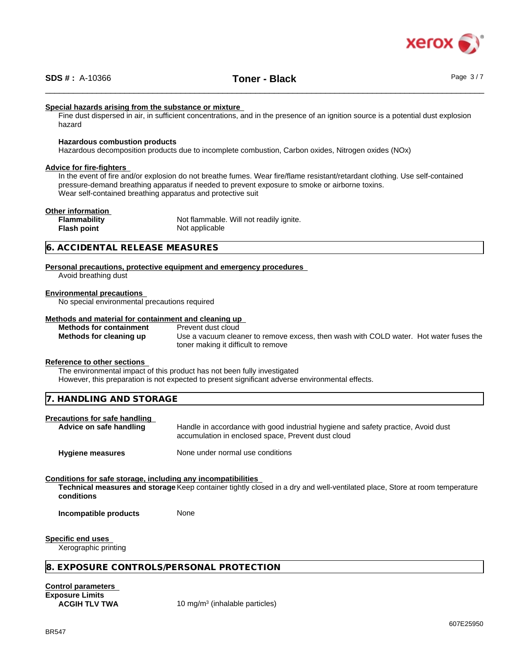

#### **Special hazards arising from the substance or mixture**

Fine dust dispersed in air, in sufficient concentrations, and in the presence of an ignition source is a potential dust explosion hazard

#### **Hazardous combustion products**

Hazardous decomposition products due to incomplete combustion, Carbon oxides, Nitrogen oxides (NOx)

#### **Advice for fire-fighters**

In the event of fire and/or explosion do not breathe fumes. Wear fire/flame resistant/retardant clothing. Use self-contained pressure-demand breathing apparatus if needed to prevent exposure to smoke or airborne toxins. Wear self-contained breathing apparatus and protective suit

#### **Other information**

**Flammability** Not flammable. Will not readily ignite. **Flash point** Not applicable

#### **6. ACCIDENTAL RELEASE MEASURES**

**Personal precautions, protective equipment and emergency procedures** Avoid breathing dust

#### **Environmental precautions**

No special environmental precautions required

### **Methods and material for containment and cleaning up**

**Methods for containment** 

**Methods for cleaning up** Use a vacuum cleaner to remove excess, then wash with COLD water. Hot water fuses the toner making it difficult to remove

#### **Reference to other sections**

The environmental impact of this product has not been fully investigated

However, this preparation is not expected to present significant adverse environmental effects.

| <b>CTODACE</b><br>די<br>` ANL<br>IANDI<br>ING<br>17.<br>. .<br>RAGE<br>. .<br>$\overline{\phantom{0}}$<br>$\cdots$ |  |
|--------------------------------------------------------------------------------------------------------------------|--|
|                                                                                                                    |  |

#### **Precautions for safe handling**

**Advice on safe handling** Handle in accordance with good industrial hygiene and safety practice, Avoid dust accumulation in enclosed space, Prevent dust cloud

**Hygiene measures** None under normal use conditions

#### **Conditions for safe storage, including any incompatibilities**

**Technical measures and storage** Keep container tightly closed in a dry and well-ventilated place, Store at room temperature **conditions**

**Incompatible products** None

**Specific end uses**

Xerographic printing

#### **8. EXPOSURE CONTROLS/PERSONAL PROTECTION**

**Control parameters Exposure Limits**

**ACGIH TLV TWA** 10 mg/m<sup>3</sup> (inhalable particles)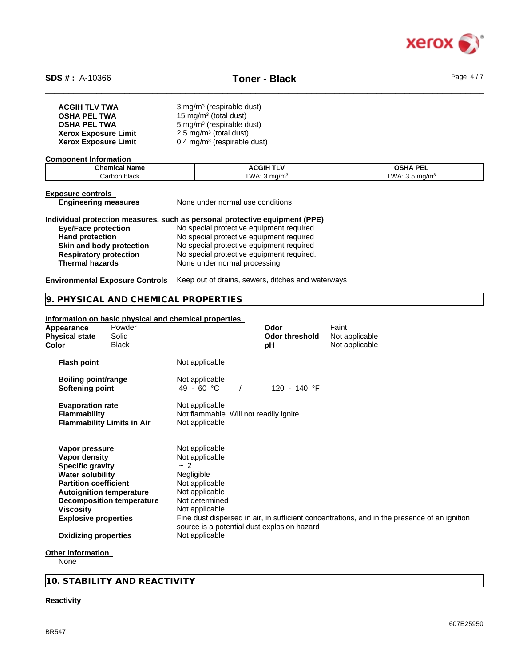

| <b>ACGIH TLV TWA</b>        | $3$ mg/m <sup>3</sup> (respirable dust)   |
|-----------------------------|-------------------------------------------|
| <b>OSHA PEL TWA</b>         | 15 mg/m $3$ (total dust)                  |
| <b>OSHA PEL TWA</b>         | 5 mg/m <sup>3</sup> (respirable dust)     |
| <b>Xerox Exposure Limit</b> | $2.5 \text{ mg/m}^3$ (total dust)         |
| <b>Xerox Exposure Limit</b> | $0.4$ mg/m <sup>3</sup> (respirable dust) |

#### **Component Information**

| $\sim$<br>Chemical<br><b>Name</b> | ACGIH <sup>-</sup><br>-- - -<br>. . | OSHA PEI           |
|-----------------------------------|-------------------------------------|--------------------|
| black<br>Carbon                   | TWA.<br>`ma/m∙                      | TWA .<br>-<br>ma/m |

## **Exposure controls**

**Engineering measures** None under normal use conditions

#### **Individual protection measures, such as personal protective equipment (PPE)**

| <b>Eye/Face protection</b>    | N |
|-------------------------------|---|
| <b>Hand protection</b>        | N |
| Skin and body protection      | N |
| <b>Respiratory protection</b> | N |
| <b>Thermal hazards</b>        | N |

**Io special protective equipment required lo special protective equipment required Skin and body protection** No special protective equipment required **Robishiration** bespirations approxing **Thermal hazards** None under normal processing

**Environmental Exposure Controls** Keep out of drains, sewers, ditches and waterways

### **9. PHYSICAL AND CHEMICAL PROPERTIES**

### **Information on basic physical and chemical properties**

| Appearance<br><b>Physical state</b><br>Color                                                                                                                                                                                               | Powder<br>Solid<br>Black          |                                                                                                                                                                                                     | Odor<br><b>Odor threshold</b><br>рH | Faint<br>Not applicable<br>Not applicable                                                    |
|--------------------------------------------------------------------------------------------------------------------------------------------------------------------------------------------------------------------------------------------|-----------------------------------|-----------------------------------------------------------------------------------------------------------------------------------------------------------------------------------------------------|-------------------------------------|----------------------------------------------------------------------------------------------|
| <b>Flash point</b>                                                                                                                                                                                                                         |                                   | Not applicable                                                                                                                                                                                      |                                     |                                                                                              |
| <b>Boiling point/range</b><br>Softening point                                                                                                                                                                                              |                                   | Not applicable<br>49 - 60 °C                                                                                                                                                                        | 120 - 140 °F                        |                                                                                              |
| <b>Evaporation rate</b><br><b>Flammability</b>                                                                                                                                                                                             | <b>Flammability Limits in Air</b> | Not applicable<br>Not flammable. Will not readily ignite.<br>Not applicable                                                                                                                         |                                     |                                                                                              |
| Vapor pressure<br>Vapor density<br><b>Specific gravity</b><br><b>Water solubility</b><br><b>Partition coefficient</b><br><b>Autoignition temperature</b><br><b>Viscosity</b><br><b>Explosive properties</b><br><b>Oxidizing properties</b> | <b>Decomposition temperature</b>  | Not applicable<br>Not applicable<br>$\sim$ 2<br>Negligible<br>Not applicable<br>Not applicable<br>Not determined<br>Not applicable<br>source is a potential dust explosion hazard<br>Not applicable |                                     | Fine dust dispersed in air, in sufficient concentrations, and in the presence of an ignition |
| Other information<br>Nono.                                                                                                                                                                                                                 |                                   |                                                                                                                                                                                                     |                                     |                                                                                              |

None

**10. STABILITY AND REACTIVITY**

#### **Reactivity**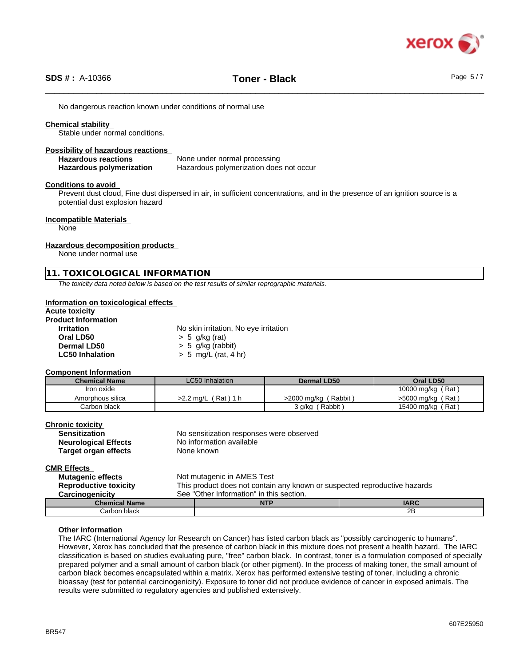

No dangerous reaction known under conditions of normal use

#### **Chemical stability**

Stable under normal conditions.

#### **Possibility of hazardous reactions**

**Hazardous reactions** None under normal processing **Hazardous polymerization** Hazardous polymerization does not occur

#### **Conditions to avoid**

Prevent dust cloud, Fine dust dispersed in air, in sufficient concentrations, and in the presence of an ignition source is a potential dust explosion hazard

#### **Incompatible Materials**

None

#### **Hazardous decomposition products**

None under normal use

#### **11. TOXICOLOGICAL INFORMATION**

*The toxicity data noted below is based on the test results of similar reprographic materials.*

#### **Information on toxicological effects**

#### **Acute toxicity Product Information**

| ~~~~~~~~~~~~~~         |                                       |  |  |
|------------------------|---------------------------------------|--|--|
| Irritation             | No skin irritation, No eye irritation |  |  |
| Oral LD50              | $> 5$ g/kg (rat)                      |  |  |
| <b>Dermal LD50</b>     | $> 5$ g/kg (rabbit)                   |  |  |
| <b>LC50 Inhalation</b> | $> 5$ mg/L (rat, 4 hr)                |  |  |

#### **Component Information**

| <b>Chemical Name</b> | LC50 Inhalation    | Dermal LD50          | Oral LD50                 |
|----------------------|--------------------|----------------------|---------------------------|
| Iron oxide           |                    |                      | ˈRat .<br>10000 mg/kg     |
| Amorphous silica     | Rat<br>$>2.2$ ma/L | >2000 mg/kg (Rabbit) | . Rat '<br>>5000 mg/kg    |
| Carbon black         |                    | Rabbit<br>3 g/kg     | ′ Rat ,<br>15400 mg/kg (1 |

#### **Chronic toxicity**

| <b>Sensitization</b>        | No sensitization responses were observed |
|-----------------------------|------------------------------------------|
| <b>Neurological Effects</b> | No information available                 |
| Target organ effects        | None known                               |
|                             |                                          |

### **CMR Effects**

| <b>Mutagenic effects</b><br><b>Reproductive toxicity</b> | Not mutagenic in AMES Test<br>This product does not contain any known or suspected reproductive hazards |            |             |
|----------------------------------------------------------|---------------------------------------------------------------------------------------------------------|------------|-------------|
| Carcinogenicity                                          | See "Other Information" in this section.                                                                |            |             |
| <b>Chemical Name</b>                                     |                                                                                                         | <b>NTP</b> | <b>IARC</b> |
| Carbon black                                             |                                                                                                         |            | 2B          |

#### **Other information**

The IARC (International Agency for Research on Cancer) has listed carbon black as "possibly carcinogenic to humans". However, Xerox has concluded that the presence of carbon black in this mixture does not present a health hazard. The IARC classification is based on studies evaluating pure, "free" carbon black. In contrast, toner is a formulation composed of specially prepared polymer and a small amount of carbon black (or other pigment). In the process of making toner, the small amount of carbon black becomes encapsulated within a matrix. Xerox has performed extensive testing of toner, including a chronic bioassay (test for potential carcinogenicity). Exposure to toner did not produce evidence of cancer in exposed animals. The results were submitted to regulatory agencies and published extensively.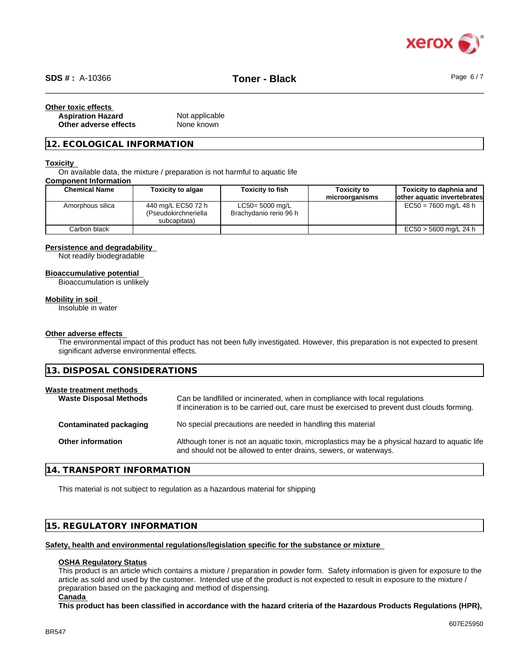

# \_\_\_\_\_\_\_\_\_\_\_\_\_\_\_\_\_\_\_\_\_\_\_\_\_\_\_\_\_\_\_\_\_\_\_\_\_\_\_\_\_\_\_\_\_\_\_\_\_\_\_\_\_\_\_\_\_\_\_\_\_\_\_\_\_\_\_\_\_\_\_\_\_\_\_\_\_\_\_\_\_\_\_\_\_\_\_\_\_\_\_\_\_\_ **SDS # :** A-10366 **Toner - Black** Page 6 / 7

| Other toxic effects      |                |  |
|--------------------------|----------------|--|
| <b>Aspiration Hazard</b> | Not applicable |  |
| Other adverse effects    | None known     |  |

#### **12. ECOLOGICAL INFORMATION**

#### **Toxicity**

On available data, the mixture / preparation is not harmful to aquatic life

#### **Component Information**

| <b>Chemical Name</b> | <b>Toxicity to algae</b>                                   | <b>Toxicity to fish</b>                      | Toxicitv to<br>microorganisms | Toxicity to daphnia and<br>lother aquatic invertebrates |
|----------------------|------------------------------------------------------------|----------------------------------------------|-------------------------------|---------------------------------------------------------|
| Amorphous silica     | 440 mg/L EC50 72 h<br>(Pseudokirchneriella<br>subcapitata) | $LC50 = 5000$ mg/L<br>Brachydanio rerio 96 h |                               | $EC50 = 7600$ mg/L 48 h                                 |
| Carbon black         |                                                            |                                              |                               | EC50 > 5600 mg/L 24 h                                   |

#### **Persistence and degradability**

Not readily biodegradable

#### **Bioaccumulative potential**

Bioaccumulation is unlikely

#### **Mobility in soil**

Insoluble in water

#### **Other adverse effects**

The environmental impact of this product has not been fully investigated. However, this preparation is not expected to present significant adverse environmental effects.

**13. DISPOSAL CONSIDERATIONS**

| Waste treatment methods<br><b>Waste Disposal Methods</b> |                          | Can be landfilled or incinerated, when in compliance with local regulations<br>If incineration is to be carried out, care must be exercised to prevent dust clouds forming. |  |  |
|----------------------------------------------------------|--------------------------|-----------------------------------------------------------------------------------------------------------------------------------------------------------------------------|--|--|
|                                                          | Contaminated packaging   | No special precautions are needed in handling this material                                                                                                                 |  |  |
|                                                          | <b>Other information</b> | Although toner is not an aquatic toxin, microplastics may be a physical hazard to aquatic life<br>and should not be allowed to enter drains, sewers, or waterways.          |  |  |

#### **14. TRANSPORT INFORMATION**

This material is not subject to regulation as a hazardous material for shipping

#### **15. REGULATORY INFORMATION**

#### **Safety, health and environmental regulations/legislation specific for the substance or mixture**

#### **OSHA Regulatory Status**

This product is an article which contains a mixture / preparation in powder form. Safety information is given for exposure to the article as sold and used by the customer. Intended use of the product is not expected to result in exposure to the mixture / preparation based on the packaging and method of dispensing.

#### **Canada**

This product has been classified in accordance with the hazard criteria of the Hazardous Products Regulations (HPR),